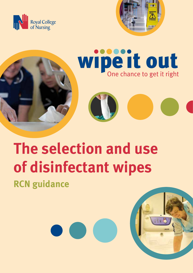



# Wipe it out

# **The selection and use of disinfectant wipes RCN guidance**

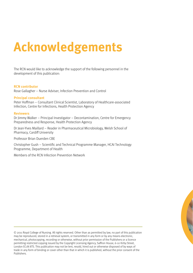# **Acknowledgements**

The RCN would like to acknowledge the support of the following personnel in the development of this publication:

#### **RCN contributor**

Rose Gallagher – Nurse Adviser, Infection Prevention and Control

#### **Principal consultant**

Peter Hoffman – Consultant Clinical Scientist, Laboratory of Healthcare-associated Infection, Centre for Infections, Health Protection Agency

#### **Reviewers**

Dr Jimmy Walker – Principal Investigator – Decontamination, Centre for Emergency Preparedness and Response, Health Protection Agency

Dr Jean-Yves Maillard – Reader in Pharmaceutical Microbiology, Welsh School of Pharmacy, Cardiff University

Professor Brian Duerden CBE

Christopher Gush – Scientific and Technical Programme Manager, HCAI Technology Programme, Department of Health

Members of the RCN Infection Prevention Network

© 2011 Royal College of Nursing. All rights reserved. Other than as permitted by law, no part of this publication may be reproduced, stored in a retrieval system, or transmitted in any form or by any means electronic, mechanical, photocopying, recording or otherwise, without prior permission of the Publishers or a licence permitting restricted copying issued by the Copyright Licensing Agency, Saffron House, 6-10 Kirby Street, London EC1N 8TS. This publication may not be lent, resold, hired out or otherwise disposed of by ways of trade in any form of binding or cover other than that in which it is published, without the prior consent of the Publishers.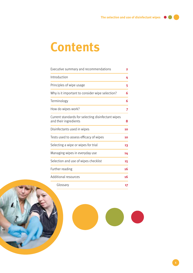### **Contents**

| Executive summary and recommendations                                       | 2  |
|-----------------------------------------------------------------------------|----|
| Introduction                                                                | 4  |
| Principles of wipe usage                                                    | 5  |
| Why is it important to consider wipe selection?                             | 6  |
| Terminology                                                                 | 6  |
| How do wipes work?                                                          | 7  |
| Current standards for selecting disinfectant wipes<br>and their ingredients | 8  |
| Disinfectants used in wipes                                                 | 10 |
| Tests used to assess efficacy of wipes                                      | 10 |
| Selecting a wipe or wipes for trial                                         | 13 |
| Managing wipes in everyday use                                              | 14 |
| Selection and use of wipes checklist                                        | 15 |
| Further reading                                                             | 16 |
| <b>Additional resources</b>                                                 | 16 |
| Glossary                                                                    | 17 |
|                                                                             |    |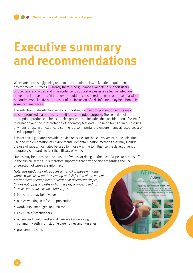### **Executive summary and recommendations**

Wipes are increasingly being used to decontaminate low risk patient equipment or environmental surfaces. Currently there is no guidance available to support users or purchasers of wipes and little evidence to support wipes as an effective infection prevention intervention. Dirt removal should be considered the main purpose of a wipe, but antimicrobial activity as a result of the inclusion of a disinfectant may be a bonus in some circumstances.

The selection of disinfectant wipes is important as infection prevention efforts may be compromised if a product is not fit for its intended purpose. The selection of an appropriate product can be a complex process that includes the consideration of scientific information and the interpretation of laboratory test data. The need for rigor in purchasing any item for use in a health care setting is also important to ensure financial resources are used appropriately.

This technical guidance provides advice on issues for those involved with the selection, use and implementation of environmental decontamination methods that may include the use of wipes. It can also be used by those wishing to influence the development of laboratory standards to test the efficacy of wipes.

Nurses may be purchasers and users of wipes, or delegate the use of wipes to other staff in the clinical setting. It is therefore important that any decisions regarding the use or selection of wipes are informed.

Note: this guidance only applies to non-skin wipes – in other words, wipes used for the cleaning or disinfection of the patient environment or equipment (detergent or disinfectant wipes). It does not apply to cloths or hand wipes, or wipes used for invasive items such as nasendoscopes.

This resource may be of value to:

- nurses working in infection prevention
- ward/nurse managers and matrons
- link nurses/practitioners
- nurses and health and social care workers working in community settings including care homes and nurseries
- procurement staff.

#### **TEN** *lisitors*

HELP US TO PREVENT IN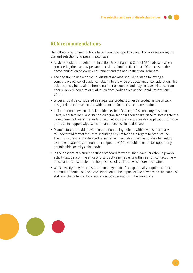#### **RCN recommendations**

The following recommendations have been developed as a result of work reviewing the use and selection of wipes in health care.

- Advice should be sought from Infection Prevention and Control (IPC) advisers when considering the use of wipes and decisions should reflect local IPC policies on the decontamination of low risk equipment and the near-patient environment.
- The decision to use a particular disinfectant wipe should be made following a comparative review of evidence relating to the wipe products under consideration. This evidence may be obtained from a number of sources and may include evidence from peer reviewed literature or evaluation from bodies such as the Rapid Review Panel (RRP).
- Wipes should be considered as single-use products unless a product is specifically designed to be reused in line with the manufacturer's recommendations.
- Collaboration between all stakeholders (scientific and professional organisations, users, manufacturers, and standards organisations) should take place to investigate the development of realistic standard test methods that match real-life applications of wipe products to support wipe selection and purchase in health care.
- Manufacturers should provide information on ingredients within wipes in an easyto-understand format for users, including any limitations in regard to product use. The disclosure of any antimicrobial ingredient, including the class of disinfectant, for example, quaternary ammonium compound (QAC), should be made to support any antimicrobial activity claim made.
- In the absence of a current defined standard for wipes, manufacturers should provide activity test data on the efficacy of any active ingredients within a short contact time – 30 seconds for example – in the presence of realistic levels of organic matter.
- Work investigating the causes and management of occupationally acquired contact dermatitis should include a consideration of the impact of use of wipes on the hands of staff and the potential for association with dermatitis in the workplace.

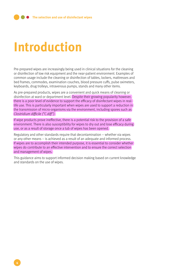# **Introduction**

Pre-prepared wipes are increasingly being used in clinical situations for the cleaning or disinfection of low risk equipment and the near-patient environment. Examples of common usage include the cleaning or disinfection of tables, lockers, mattresses and bed frames, commodes, examination couches, blood pressure cuffs, pulse oximeters, keyboards, drug trolleys, intravenous pumps, stands and many other items.

As pre-prepared products, wipes are a convenient and quick means of cleaning or disinfection at ward or department level. Despite their growing popularity however, there is a poor level of evidence to support the efficacy of disinfectant wipes in reallife use. This is particularly important when wipes are used to support a reduction in the transmission of micro-organisms via the environment, including spores such as Clostridium difficile ("C.diff").

If wipe products prove ineffective, there is a potential risk to the provision of a safe environment. There is also susceptibility for wipes to dry out and lose efficacy during use, or as a result of storage once a tub of wipes has been opened.

Regulatory and other standards require that decontamination – whether via wipes or any other means – is achieved as a result of an adequate and informed process. If wipes are to accomplish their intended purpose, it is essential to consider whether wipes do contribute to an effective intervention and to ensure the correct selection and management of wipes.

This guidance aims to support informed decision making based on current knowledge and standards on the use of wipes.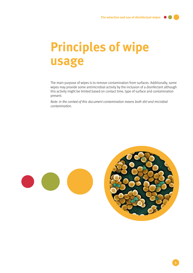# **Principles of wipe usage**

The main purpose of wipes is to remove contamination from surfaces. Additionally, some wipes may provide some antimicrobial activity by the inclusion of a disinfectant although this activity might be limited based on contact time, type of surface and contamination present.

Note: in the context of this document contamination means both dirt and microbial contamination.

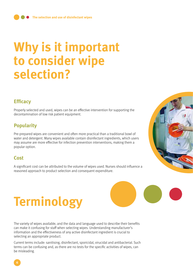## **Why is it important to consider wipe selection?**

### **Efficacy**

Properly selected and used, wipes can be an effective intervention for supporting the decontamination of low risk patient equipment.

### **Popularity**

Pre-prepared wipes are convenient and often more practical than a traditional bowl of water and detergent. Many wipes available contain disinfectant ingredients, which users may assume are more effective for infection prevention interventions, making them a popular option.

### **Cost**

A significant cost can be attributed to the volume of wipes used. Nurses should influence a reasoned approach to product selection and consequent expenditure.

# **Terminology**

The variety of wipes available, and the data and language used to describe their benefits can make it confusing for staff when selecting wipes. Understanding manufacturer's information and the effectiveness of any active disinfectant ingredient is crucial to selecting an appropriate product.

Current terms include: sanitising, disinfectant, sporicidal, virucidal and antibacterial. Such terms can be confusing and, as there are no tests for the specific activities of wipes, can be misleading.

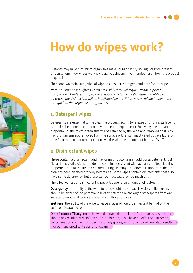## **How do wipes work?**

Surfaces may have dirt, micro-organisms (as a liquid or in dry soiling), or both present. Understanding how wipes work is crucial to achieving the intended result from the product in question.

There are two main categories of wipe to consider: detergent and disinfectant wipes.

Note: equipment or surfaces which are visibly dirty will require cleaning prior to disinfection. Disinfectant wipes are suitable only for items that appear visibly clean otherwise the disinfectant will be inactivated by the dirt as well as failing to penetrate through it to the target micro-organisms.

#### **1. Detergent wipes**

Detergents are essential to the cleaning process, acting to release dirt from a surface (for example, the immediate patient environment or equipment). Following use, dirt and a proportion of the micro-organisms will be retained by the wipe and removed on it. Any micro-organisms not removed from the surface will remain inactivated but available for transfer to patients or other locations via the wiped equipment or hands of staff.

### **2. Disinfectant wipes**

These contain a disinfectant and may or may not contain an additional detergent. Just like a damp cloth, wipes that do not contain a detergent will have only limited cleaning properties, due to the friction created during cleaning. Therefore it is important that the area has been cleaned properly before use. Some wipes contain disinfectants that also have some detergency, but these can be inactivated by too much dirt.

The effectiveness of disinfectant wipes will depend on a number of factors.

**Detergency**: the ability of the wipe to remove dirt if a surface is visibly soiled; users should be aware of the potential risk of transferring micro-organisms/spores from one surface to another if wipes are used on multiple surfaces.

**Wetness**: the ability of the wipe to leave a layer of liquid disinfectant behind on the surface it is applied to.

**Disinfectant efficacy**: once the wiped surface dries, all disinfectant activity stops and, should any residue of disinfectant be left behind, it will have no effect on further dry contamination such as microbes (including spores) in dust, which will inevitably settle on it or be transferred to it soon after cleaning.

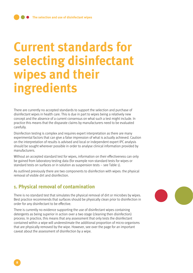## **Current standards for selecting disinfectant wipes and their ingredients**

There are currently no accepted standards to support the selection and purchase of disinfectant wipes in health care. This is due in part to wipes being a relatively new concept and the absence of a current consensus on what such a test might include. In practice this means that the disparate claims by manufacturers need to be evaluated carefully.

Disinfection testing is complex and requires expert interpretation as there are many experimental factors that can give a false impression of what is actually achieved. Caution on the interpretation of results is advised and local or independent expert IPC analysis should be sought wherever possible in order to analyse clinical information provided by manufacturers.

Without an accepted standard test for wipes, information on their effectiveness can only be gained from laboratory testing data (for example non-standard tests for wipes or standard tests on surfaces or in solution as suspension tests – see Table 1).

As outlined previously there are two components to disinfection with wipes: the physical removal of visible dirt and disinfection.

### **1. Physical removal of contamination**

There is no standard test that simulates the physical removal of dirt or microbes by wipes. Best practice recommends that surfaces should be physically clean prior to disinfection in order for any disinfectant to be effective.

There is currently no evidence supporting the use of disinfectant wipes containing detergents as being superior in action over a two stage (cleaning then disinfection) process. In practice, this means that any assessment that only tests the disinfectant contained within a wipe will underestimate the additional proportion of micro-organisms that are physically removed by the wipe. However, see over the page for an important caveat about the assessment of disinfection by a wipe.

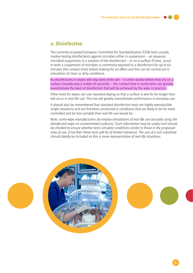### **2. Disinfection**

The currently accepted European Committee for Standardization (CEN) tests usually involve testing disinfectants against microbes either in suspension – an aqueous microbial suspension in a solution of the disinfectant – or on a surface (Fraise, 2010). In tests a suspension of microbes is commonly exposed to a disinfectant for up to 60 minutes (the contact time) before looking for an effect and this can be carried out in simulation of clean or dirty conditions.

As disinfectants in wipes will only work while wet  $-$  in other words before they dry on a surface (usually only a matter of seconds) – the contact time in some tests can grossly overestimate the level of disinfection that will be achieved by the wipe in practice.

Other tests for wipes can use repeated wiping so that a surface is wet for far longer than will occur in real-life use. This too will greatly overestimate performance in everyday use.

It should also be remembered that standard disinfection tests are highly reproducible single situations and are therefore conducted in conditions that are likely to be far more controlled and far less variable than real life use would be.

Note: some wipe manufacturers do employ simulations of real-life use (actually using the disinfectant wipe on contaminated surfaces). Such information may be useful and should be checked to ensure whether tests simulate conditions similar to those in the proposed area of use; if not then these tests will be of limited relevance. The use of a soil substitute should ideally be included as this is more representative of real-life situations.

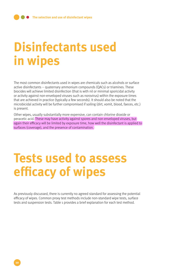### **Disinfectants used in wipes**

The most common disinfectants used in wipes are chemicals such as alcohols or surface active disinfectants – quaternary ammonium compounds (QACs) or triamines. These biocides will achieve limited disinfection (that is with nil or minimal sporicidal activity or activity against non-enveloped viruses such as norovirus) within the exposure times that are achieved in practice (typically a few seconds). It should also be noted that the microbicidal activity will be further compromised if soiling (dirt, vomit, blood, faeces, etc.) is present.

Other wipes, usually substantially more expensive, can contain chlorine dioxide or peracetic acid. These may have activity against spores and non-enveloped viruses, but again their efficacy will be limited by exposure time, how well the disinfectant is applied to surfaces (coverage), and the presence of contamination.

### **Tests used to assess efficacy of wipes**

As previously discussed, there is currently no agreed standard for assessing the potential efficacy of wipes. Common proxy test methods include non-standard wipe tests, surface tests and suspension tests. Table 1 provides a brief explanation for each test method.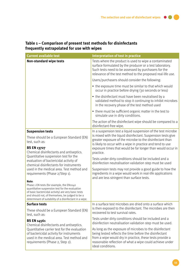| <b>Current available test</b>                                                                                                                                                                                                                                            | Interpretation of test in practice                                                                                                                                                                                                                                                                                                 |
|--------------------------------------------------------------------------------------------------------------------------------------------------------------------------------------------------------------------------------------------------------------------------|------------------------------------------------------------------------------------------------------------------------------------------------------------------------------------------------------------------------------------------------------------------------------------------------------------------------------------|
| <b>Non-standard wipe tests</b>                                                                                                                                                                                                                                           | Tests where the product is used to wipe a contaminated<br>surface formulated by the producer or a test laboratory.<br>Such tests need to be assessed by purchasers for the<br>relevance of the test method to the proposed real-life use.                                                                                          |
|                                                                                                                                                                                                                                                                          | Users/purchasers should consider the following:                                                                                                                                                                                                                                                                                    |
|                                                                                                                                                                                                                                                                          | • the exposure time must be similar to that which would<br>occur in practice before drying (30 seconds or less)                                                                                                                                                                                                                    |
|                                                                                                                                                                                                                                                                          | • the disinfectant must have been neutralised by a<br>validated method to stop it continuing to inhibit microbes<br>in the recovery phase of the test method used                                                                                                                                                                  |
|                                                                                                                                                                                                                                                                          | • there must be sufficient organic matter in the test to<br>simulate use in dirty conditions.                                                                                                                                                                                                                                      |
|                                                                                                                                                                                                                                                                          | The action of the disinfectant wipe should be compared to a<br>disinfectant-free wipe.                                                                                                                                                                                                                                             |
| <b>Suspension tests</b>                                                                                                                                                                                                                                                  | In a suspension test a liquid suspension of the test microbe<br>is mixed with the liquid disinfectant. Suspension tests give<br>greater exposure of the microbe to the disinfectant than<br>is likely to occur with a wipe in practice and tend to use<br>exposure times that would be far longer than would occur in<br>practice. |
| These should be a European Standard (EN)<br>test, such as:                                                                                                                                                                                                               |                                                                                                                                                                                                                                                                                                                                    |
| <b>BS EN 13727</b><br>Chemical disinfectants and antiseptics.<br>Quantitative suspension test for the<br>evaluation of bactericidal activity of<br>chemical disinfectants for instruments<br>used in the medical area. Test method and<br>requirements (Phase 2/Step 1). |                                                                                                                                                                                                                                                                                                                                    |
|                                                                                                                                                                                                                                                                          | Tests under dirty conditions should be included and a<br>disinfection neutralisation validation step must be used                                                                                                                                                                                                                  |
|                                                                                                                                                                                                                                                                          | Suspension tests may not provide a good guide to how the<br>ingredients in a wipe would work in real-life applications<br>and are less stringent than surface tests.                                                                                                                                                               |
| Note:                                                                                                                                                                                                                                                                    |                                                                                                                                                                                                                                                                                                                                    |
| Phase 1 EN tests (for example, the EN1040<br>quantitative suspension test for the evaluation<br>of basic bactericidal activity) are very basic tests<br>and should not, of themselves, be judged to be a<br>determinant of suitability of a disinfectant in a wipe.      |                                                                                                                                                                                                                                                                                                                                    |
| <b>Surface tests</b>                                                                                                                                                                                                                                                     | In a surface test microbes are dried onto a surface which                                                                                                                                                                                                                                                                          |
| These should be a European Standard (EN)<br>test, such as:                                                                                                                                                                                                               | is then exposed to the disinfectant. The microbes are then<br>recovered to test survival rates.                                                                                                                                                                                                                                    |
| <b>BS EN 14561</b><br>Chemical disinfectants and antiseptics.<br>Quantitative carrier test for the evaluation<br>of bactericidal activity for instruments<br>used in the medical area. Test method and<br>requirements (Phase 2, Step 2).                                | Tests under dirty conditions should be included and a<br>disinfection neutralisation validation step must be used.                                                                                                                                                                                                                 |
|                                                                                                                                                                                                                                                                          | As long as the exposure of microbes to the disinfectant<br>being tested reflects the time before the disinfectant<br>from a wipe would dry in practice, these tests provide a<br>reasonable reflection of what a wipe could achieve under<br>ideal conditions.                                                                     |

#### **Table 1 – Comparison of present test methods for disinfectants frequently extrapolated for use with wipes**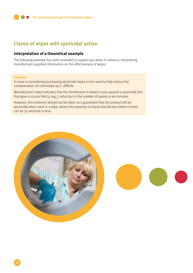### **Claims of wipes with sporicidal action**

#### **Interpretation of a theoretical example**

The following example has been provided to support you when it comes to interpreting manufacturer-supplied information on the effectiveness of wipes.

#### **Example**

A nurse is considering purchasing sporicidal wipes in her ward to help reduce the contamination of commodes by C. difficile.

Manufacturer's data indicates that the disinfectant in wipes it uses passed a sporicidal test that gave a 10,000 fold  $(4 \log_{10})$  reduction in the number of spores in 60 minutes.

However, this evidence should not be taken as a guarantee that the product will be sporicidal when used in a wipe, where the exposure to liquid disinfectant before it dries can be 30 seconds or less.

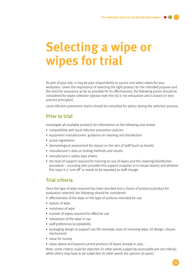### **Selecting a wipe or wipes for trial**

As part of your role, it may be your responsibility to source and select wipes for your workplace. Given the importance of selecting the right product for the intended purpose and the need for assurance as far as possible for its effectiveness, the following points should be considered for wipes selection (please note this list is not exhaustive and is based on best practice principles).

Local infection prevention teams should be consulted for advice during the selection process.

### **Prior to trial**

Investigate all available products for information on the following and review:

- compatibility with local infection prevention policies
- equipment manufacturers' guidance on cleaning and disinfection
- active ingredients
- dermatological assessment for impact on the skin of staff (such as hands)
- manufacturer's data on testing methods and results
- manufacturer's safety data sheets
- the level of support required for training on use of wipes and the cleaning/disinfection procedure – including who provides this support (supplier or in-house teams) and whether this input is a 'one-off' or needs to be repeated as staff change.

#### **Trial criteria**

Once the type of wipe required has been decided and a choice of products/product for evaluation selected, the following should be considered:

- effectiveness of the wipe on the type of surfaces intended for use
- texture of wipe
- moistness of wipe
- number of wipes required for effective use
- robustness of the wipe in use
- staff preference/acceptability
- packaging design to support use (for example, ease of removing wipe, lid design, closure mechanism)
- value for money
- value above and beyond current products (if wipes already in use).

Note: some criteria could be objective (in other words judged by assessable pre-set criteria), while others may have to be subjective (in other words the opinion of users).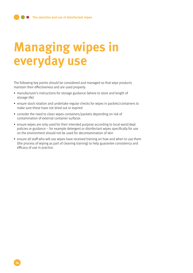## **Managing wipes in everyday use**

The following key points should be considered and managed so that wipe products maintain their effectiveness and are used properly:

- manufacturer's instructions for storage guidance (where to store and length of storage life)
- ensure stock rotation and undertake regular checks for wipes in packets/containers to make sure these have not dried out or expired
- consider the need to clean wipes containers/packets depending on risk of contamination of external container surfaces
- ensure wipes are only used for their intended purpose according to local ward/dept policies or guidance – for example detergent or disinfectant wipes specifically for use on the environment should not be used for decontamination of skin
- ensure all staff who will use wipes have received training on how and when to use them (the process of wiping as part of cleaning training) to help guarantee consistency and efficacy of use in practice.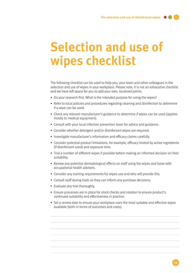### **Selection and use of wipes checklist**

The following checklist can be used to help you, your team and other colleagues in the selection and use of wipes in your workplace. Please note, it is not an exhaustive checklist and we have left space for you to add your own, localised points.

- Do your research first. What is the intended purpose for using the wipes?
- Refer to local policies and procedures regarding cleaning and disinfection to determine if a wipe can be used.
- Check any relevant manufacturer's guidance to determine if wipes can be used (applies mostly to medical equipment).
- Consult with your local infection prevention team for advice and guidance.
- Consider whether detergent and/or disinfectant wipes are required.
- Investigate manufacturer's information and efficacy claims carefully.
- Consider potential product limitations, for example, efficacy limited by active ingredients (if disinfectant used) and exposure time.
- Trial a number of different wipes if possible before making an informed decision on their suitability.
- Review any potential dermatological effects on staff using the wipes and liaise with occupational health advisers.
- Consider any training requirements for wipes use and who will provide this.
- Consult staff during trials so they can inform any purchase decisions.
- Evaluate any trial thoroughly.
- Ensure processes are in place for stock checks and rotation to ensure product's continued suitability and effectiveness in practice.
- Set a review date to ensure your workplace uses the most suitable and effective wipes available (both in terms of outcomes and costs).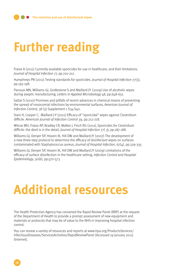# **Further reading**

Fraise A (2011) Currently available sporicides for use in healthcare, and their limitations. Journal of Hospital Infection 77, pp.210-212.

Humphreys PN (2011) Testing standards for sporicides. Journal of Hospital Infection 77(3), pp.193-198.

Panousi MN, Williams GJ, Girdlestone S and Maillard JY. (2009) Use of alcoholic wipes during aseptic manufacturing, Letters in Applied Microbiology 48, pp.648-651.

Sattar S (2010) Promises and pitfalls of recent advances in chemical means of preventing the spread of nosocomial infections by environmental surfaces, American Journal of Infection Control, 38 (5) Supplement 1 S34-S40.

Siani H, Cooper C, Maillard J-Y (2011) Efficacy of ''sporicidal'' wipes against Clostridium difficile. American Journal of Infection Control 39, pp.212-218.

Wilcox MH, Fraise AP, Bradley CR, Walker J, Finch RG (2011), Sporicides for Clostridium difficile: the devil is in the detail, Journal of Hospital Infection 77( 3), pp.187-188.

Williams GJ, Denyer SP, Hosein IK, Hill DW and Maillard JY (2007) The development of a new three-step protocol to determine the efficacy of disinfectant wipes on surfaces contaminated with Staphylococcus aureus, Journal of Hospital Infection, 67(4), pp.329-335.

Williams GJ, Denyer SP, Hosein IK, Hill DW and Maillard JY (2009) Limitations of the efficacy of surface disinfection in the healthcare setting, Infection Control and Hospital Epidemiology, 30(6), pp.570-573.

### **Additional resources**

The Health Protection Agency has convened the Rapid Review Panel (RRP) at the request of the Department of Health to provide a prompt assessment of new equipment and materials or protocols that may be of value to the NHS in improving hospital infection control.

You can review a variety of resources and reports at www.hpa.org/ProductsServices/ InfectiousDiseases/ServicesActivities/RapidReviewPanel (Accessed 19 January 2011) (Internet).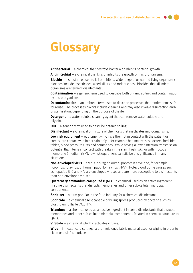### **Glossary**

**Antibacterial** – a chemical that destroys bacteria or inhibits bacterial growth.

**Antimicrobial** – a chemical that kills or inhibits the growth of micro-organisms.

**Biocide** – a substance used to kill or inhibit a wide range of unwanted living organisms; biocides include insecticides, weed killers and rodenticides. Biocides that kill microorganisms are termed 'disinfectants'.

**Contamination** – a generic term used to describe both organic soiling and contamination by micro-organisms.

**Decontamination** – an umbrella term used to describe processes that render items safe for reuse. The processes always include cleaning and may also involve disinfection and/ or sterilisation, depending on the purpose of the item.

**Detergent** – a water-soluble cleaning agent that can remove water-soluble and oily dirt.

**Dirt** – a generic term used to describe organic soiling.

**Disinfectant** – a chemical or mixture of chemicals that inactivates microorganisms.

**Low risk equipment** – equipment which is either not in contact with the patient or comes into contact with intact skin only – for example bed mattresses, lockers, bedside tables, blood pressure cuffs and commodes. While having a lower infection transmission potential than items in contact with breaks in the skin ('high risk') or with mucous membrane ('medium risk'), low risk equipment can still be of significance in many situations.

**Non-enveloped virus** – a virus lacking an outer lipoprotein envelope, for example norovirus, rotavirus, or human pappilloma virus (HPV). Note: blood borne viruses such as hepatitis B, C and HIV are enveloped viruses and are more susceptible to disinfectants than non-enveloped viruses.

**Quaternary ammonium compound (QAC)** – a chemical used as an active ingredient in some disinfectants that disrupts membranes and other sub-cellular microbial components.

**Sanitiser** – a term popular in the food industry for a chemical disinfectant.

**Sporicide** – a chemical agent capable of killing spores produced by bacteria such as Clostridium difficile ("C.diff").

**Triamines** – a chemical used as an active ingredient in some disinfectants that disrupts membranes and other sub-cellular microbial components. Related in chemical structure to QACs.

**Virucide** – a chemical which inactivates viruses.

**Wipe** – in health care settings, a pre-moistened fabric material used for wiping in order to clean or disinfect surfaces.